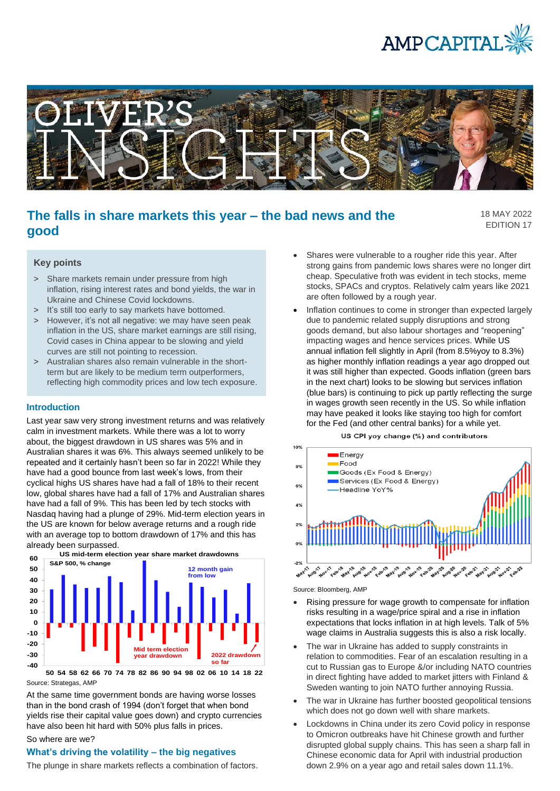



# **The falls in share markets this year – the bad news and the good**

18 MAY 2022 EDITION 17

## **Key points**

- > Share markets remain under pressure from high inflation, rising interest rates and bond yields, the war in Ukraine and Chinese Covid lockdowns.
- > It's still too early to say markets have bottomed.
- > However, it's not all negative: we may have seen peak inflation in the US, share market earnings are still rising, Covid cases in China appear to be slowing and yield curves are still not pointing to recession.
- > Australian shares also remain vulnerable in the shortterm but are likely to be medium term outperformers, reflecting high commodity prices and low tech exposure.

### **Introduction**

Last year saw very strong investment returns and was relatively calm in investment markets. While there was a lot to worry about, the biggest drawdown in US shares was 5% and in Australian shares it was 6%. This always seemed unlikely to be repeated and it certainly hasn't been so far in 2022! While they have had a good bounce from last week's lows, from their cyclical highs US shares have had a fall of 18% to their recent low, global shares have had a fall of 17% and Australian shares have had a fall of 9%. This has been led by tech stocks with Nasdaq having had a plunge of 29%. Mid-term election years in the US are known for below average returns and a rough ride with an average top to bottom drawdown of 17% and this has already been surpassed.



Source: Strategas, AMP **50 54 58 62 66 70 74 78 82 86 90 94 98 02 06 10 14 18 22**

At the same time government bonds are having worse losses than in the bond crash of 1994 (don't forget that when bond yields rise their capital value goes down) and crypto currencies have also been hit hard with 50% plus falls in prices.

#### So where are we?

## **What's driving the volatility – the big negatives**

The plunge in share markets reflects a combination of factors.

- Shares were vulnerable to a rougher ride this year. After strong gains from pandemic lows shares were no longer dirt cheap. Speculative froth was evident in tech stocks, meme stocks, SPACs and cryptos. Relatively calm years like 2021 are often followed by a rough year.
- Inflation continues to come in stronger than expected largely due to pandemic related supply disruptions and strong goods demand, but also labour shortages and "reopening" impacting wages and hence services prices. While US annual inflation fell slightly in April (from 8.5%yoy to 8.3%) as higher monthly inflation readings a year ago dropped out it was still higher than expected. Goods inflation (green bars in the next chart) looks to be slowing but services inflation (blue bars) is continuing to pick up partly reflecting the surge in wages growth seen recently in the US. So while inflation may have peaked it looks like staying too high for comfort for the Fed (and other central banks) for a while yet.





Source: Bloomberg, AMP

- Rising pressure for wage growth to compensate for inflation risks resulting in a wage/price spiral and a rise in inflation expectations that locks inflation in at high levels. Talk of 5% wage claims in Australia suggests this is also a risk locally.
- The war in Ukraine has added to supply constraints in relation to commodities. Fear of an escalation resulting in a cut to Russian gas to Europe &/or including NATO countries in direct fighting have added to market jitters with Finland & Sweden wanting to join NATO further annoying Russia.
- The war in Ukraine has further boosted geopolitical tensions which does not go down well with share markets.
- Lockdowns in China under its zero Covid policy in response to Omicron outbreaks have hit Chinese growth and further disrupted global supply chains. This has seen a sharp fall in Chinese economic data for April with industrial production down 2.9% on a year ago and retail sales down 11.1%.